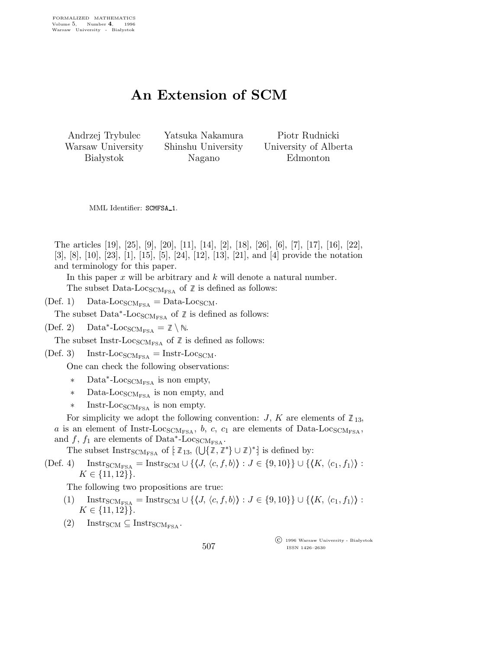## An Extension of SCM

Andrzej Trybulec Warsaw University **Białystok** 

Yatsuka Nakamura Shinshu University Nagano

Piotr Rudnicki University of Alberta Edmonton

MML Identifier: SCMFSA<sub>-1</sub>.

The articles [19], [25], [9], [20], [11], [14], [2], [18], [26], [6], [7], [17], [16], [22], [3], [8], [10], [23], [1], [15], [5], [24], [12], [13], [21], and [4] provide the notation and terminology for this paper.

In this paper  $x$  will be arbitrary and  $k$  will denote a natural number. The subset Data-Loc<sub>SCMFSA</sub> of  $\mathbb Z$  is defined as follows:

(Def. 1) Data-Loc<sub>SCMFSA</sub> = Data-Loc<sub>SCM</sub>.

The subset  $\text{Data}^*$ -Loc<sub>SCMFSA</sub> of  $\mathbb Z$  is defined as follows:

 $(Def. 2)$ Data\*-Loc<sub>SCMFSA</sub> =  $\mathbb{Z} \setminus \mathbb{N}$ .

The subset Instr-Loc<sub>SCMFSA</sub> of  $\mathbb Z$  is defined as follows:

(Def. 3) Instr-Loc<sub>SCMFSA</sub> = Instr-Loc<sub>SCM</sub>.

One can check the following observations:

- ∗ Data<sup>∗</sup> -LocSCMFSA is non empty,
- ∗ Data-LocSCMFSA is non empty, and
- ∗ Instr-LocSCMFSA is non empty.

For simplicity we adopt the following convention: J, K are elements of  $\mathbb{Z}_{13}$ , a is an element of Instr-Loc<sub>SCMFSA</sub>, b, c, c<sub>1</sub> are elements of Data-Loc<sub>SCMFSA</sub>, and f,  $f_1$  are elements of Data<sup>\*</sup>-Loc<sub>SCMFSA</sub>.

The subset  $Int_{SCM_{FSA}}$  of  $\{ \mathbb{Z}_{13}, (\bigcup \{ \mathbb{Z}, \mathbb{Z}^* \} \cup \mathbb{Z})^* \}$  is defined by:

(Def. 4) Instr<sub>SCMFSA</sub> = Instr<sub>SCM</sub>  $\cup$  { $\langle J, \langle c, f, b \rangle \rangle : J \in \{9, 10\}$ }  $\cup$  { $\langle K, \langle c_1, f_1 \rangle \rangle :$  $K \in \{11, 12\}$ .

The following two propositions are true:

- (1) Instr<sub>SCMFSA</sub> = Instr<sub>SCM</sub>  $\cup$  { $\langle J, \langle c, f, b \rangle$ } :  $J \in \{9, 10\}$ }  $\cup$  { $\langle K, \langle c_1, f_1 \rangle$ } :  $K \in \{11, 12\}$ .
- $(2)$  Instr<sub>SCM</sub>  $\subseteq$  Instr<sub>SCMESA</sub>.

 $\overline{\text{C}}$  1996 Warsaw University - Białystok ISSN 1426–2630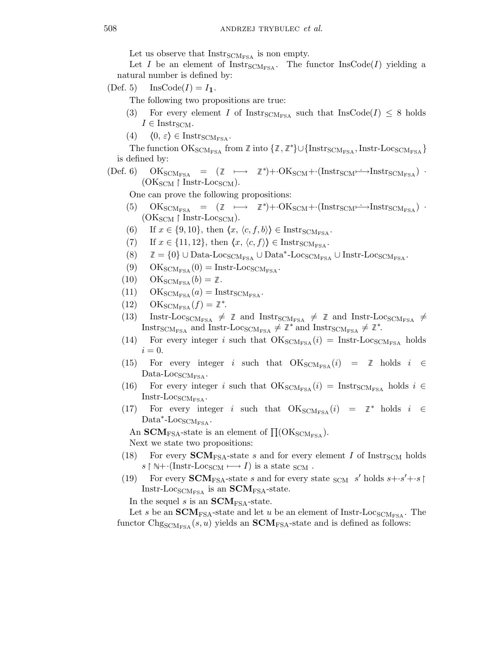Let us observe that  $Instr_{SCM_{FSA}}$  is non empty.

Let I be an element of  $Instr_{\text{SCM}_{\text{FSA}}}$ . The functor  $InsCode(I)$  yielding a natural number is defined by:

(Def. 5) InsCode( $I$ ) =  $I_1$ .

The following two propositions are true:

- (3) For every element I of Instr<sub>SCMFSA</sub> such that InsCode(I)  $\leq$  8 holds  $I \in$  Instr<sub>SCM</sub>.
- (4)  $\langle 0, \varepsilon \rangle \in \text{Instr}_{\text{SCM}_{\text{FSA}}}$ .

The function  $OK_{\text{SCM}_{\text{FSA}}}$  from  $\mathbb Z$  into  $\{\mathbb Z, \mathbb Z^*\}\cup \{\text{Instr}_{\text{SCM}_{\text{FSA}}}, \text{Instr-Loc}_{\text{SCM}_{\text{FSA}}}\}$ is defined by:

 $(\text{Def. 6})$   $\text{OK}_{\text{SCM}_{\text{FSA}}}$  =  $(\mathbb{Z} \longmapsto \mathbb{Z}^*) + \cdot \text{OK}_{\text{SCM}} + \cdot (\text{Instr}_{\text{SCM}} \longrightarrow \text{Instr}_{\text{SCM}_{\text{FSA}}})$ .  $(OK_{SCM} \upharpoonright Instr-Loc_{SCM}).$ 

One can prove the following propositions:

- (5)  $OK_{SCM_{FSA}} = (\mathbb{Z} \longrightarrow \mathbb{Z}^*) + \cdot OK_{SCM} + \cdot (Instr_{SCM} \rightarrow Instr_{SCM_{FSA}})$ .  $(OK_{SCM} \upharpoonright Instr-Loc_{SCM}).$
- (6) If  $x \in \{9, 10\}$ , then  $\langle x, \langle c, f, b \rangle \rangle \in \text{Instr}_{\text{SCM}_{\text{FSA}}}$ .
- (7) If  $x \in \{11, 12\}$ , then  $\langle x, \langle c, f \rangle \rangle \in \text{Instr}_{\text{SCM}_{\text{FSA}}}$ .
- (8)  $\mathbb{Z} = \{0\} \cup Data\text{-}Loc_{SCM_{FSA}} \cup Data^*\text{-}Loc_{SCM_{FSA}} \cup Insert\text{-}Loc_{SCM_{FSA}}.$
- (9)  $OK_{\text{SCM}_{\text{FSA}}}(0) = \text{Instr-Loc}_{\text{SCM}_{\text{FSA}}}$ .
- $(10)$  OK<sub>SCMFSA</sub> $(b) = \mathbb{Z}$ .
- (11)  $OK_{SCM_{FSA}}(a) = Instr_{SCM_{FSA}}$ .
- (12) OKSCM<sub>FSA</sub> $(f) = \mathbb{Z}^*$ .
- (13) Instr-Loc<sub>SCMFSA</sub>  $\neq$   $\mathbb{Z}$  and Instr<sub>SCMFSA</sub>  $\neq$   $\mathbb{Z}$  and Instr-Loc<sub>SCMFSA</sub>  $\neq$ Instr<sub>SCMFSA</sub> and Instr-Loc<sub>SCMFSA</sub>  $\neq \mathbb{Z}^*$  and Instr<sub>SCMFSA</sub>  $\neq \mathbb{Z}^*$ .
- (14) For every integer i such that  $OK_{\text{SCM}_{\text{FSA}}}(i) = \text{Instr-Loc}_{\text{SCM}_{\text{FSA}}}$  holds  $i = 0$ .
- (15) For every integer  $i$  such that  $\textsc{OK}_\text{SCM_{FSA}}(i)$  =  $\mathbb Z$  holds  $i \in$ Data-Loc $_{\rm SCM_{FSA}}$ .
- (16) For every integer i such that  $OK_{\text{SCM}_{\text{FSA}}}(i) = \text{Instr}_{\text{SCM}_{\text{FSA}}}$  holds  $i \in$  $Instr-Loc<sub>SCM<sub>FSA</sub></sub>$ .
- (17) For every integer *i* such that  $OK_{SCM_{FSA}}(i) = \mathbb{Z}^*$  holds  $i \in$  $\text{Data}^* \text{-} \text{Locs}_{\text{CM}_{\text{FSA}}}$ .

An SCM<sub>FSA</sub>-state is an element of  $\Pi(\text{OK}_{\text{SCM}_{\text{FSA}}}).$ Next we state two propositions:

- (18) For every **-state s and for every element I of Instr<sub>SCM</sub> holds**  $s \upharpoonright \mathbb{N} + ($ Instr-Loc<sub>SCM</sub>  $\longmapsto I)$  is a state <sub>SCM</sub>.
- (19) For every **-state s and for every state <sub>SCM</sub> s' holds**  $s+s'+s$ Instr-Loc<sub>SCMFSA</sub> is an  $SCM<sub>FSA</sub>$ -state.

In the sequel s is an **-state.** 

Let s be an **-state and let u be an element of Instr-Loc<sub>SCMFSA</sub>. The** functor  $\text{Chg}_{\text{SCM}_{\text{FSA}}}(s, u)$  yields an  $\text{SCM}_{\text{FSA}}$ -state and is defined as follows: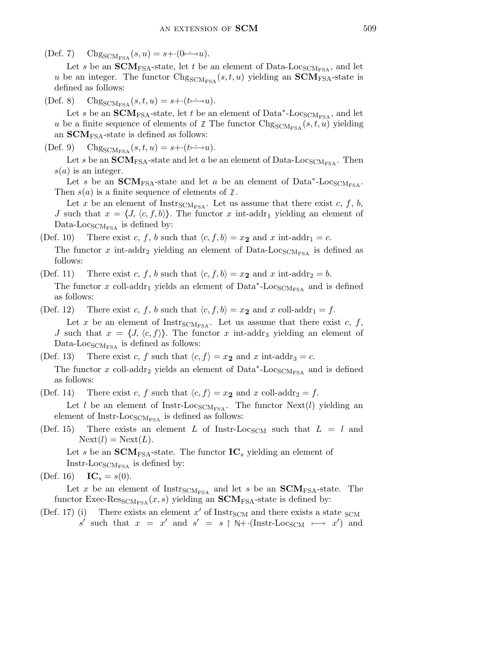(Def. 7) Chg<sub>SCMFSA</sub>  $(s, u) = s + (0 \rightarrow u)$ .

Let s be an **-state, let t be an element of Data-Loc<sub>SCMFSA</sub>, and let** u be an integer. The functor  $\text{Chg}_{\text{SCM}_{\text{FSA}}}(s, t, u)$  yielding an  $\text{SCM}_{\text{FSA}}$ -state is defined as follows:

(Def. 8) Chg<sub>SCMFSA</sub>  $(s, t, u) = s + (t \rightarrow u)$ .

Let s be an  $\widetilde{\text{SCM}}_{\text{FSA}}$ -state, let t be an element of Data<sup>\*</sup>-Loc<sub>SCMFSA</sub>, and let u be a finite sequence of elements of  $\mathbb{Z}$  The functor  $\text{Chg}_{\text{SCM}_{\text{FSA}}}(s, t, u)$  yielding an  $\mathbf{SCM}_{\text{FSA}}$ -state is defined as follows:

(Def. 9) Chg<sub>SCMFSA</sub>  $(s, t, u) = s + (t \rightarrow u)$ .

Let s be an **-state and let a be an element of Data-Loc<sub>SCMFSA</sub>. Then**  $s(a)$  is an integer.

Let s be an **-state and let a be an element of Data<sup>\*</sup>-Loc<sub>SCMFSA</sub>.** Then  $s(a)$  is a finite sequence of elements of  $\mathbb{Z}$ .

Let x be an element of Instr<sub>SCMFSA</sub>. Let us assume that there exist c, f, b, J such that  $x = \langle J, \langle c, f, b \rangle \rangle$ . The functor x int-addr<sub>1</sub> yielding an element of Data-Loc<sub>SCMFSA</sub> is defined by:

(Def. 10) There exist c, f, b such that  $\langle c, f, b \rangle = x_2$  and x int-addr<sub>1</sub> = c.

The functor x int-addr<sub>2</sub> yielding an element of Data-Loc<sub>SCMFSA</sub> is defined as follows:

(Def. 11) There exist c, f, b such that  $\langle c, f, b \rangle = x_2$  and x int-addr<sub>2</sub> = b. The functor x coll-addr<sub>1</sub> yields an element of  $Data^*$ -Loc<sub>SCMFSA</sub> and is defined as follows:

- (Def. 12) There exist c, f, b such that  $\langle c, f, b \rangle = x_2$  and x coll-addr<sub>1</sub> = f. Let x be an element of Instr<sub>SCMFSA</sub>. Let us assume that there exist c, f, J such that  $x = \langle J, \langle c, f \rangle \rangle$ . The functor x int-addr<sub>3</sub> yielding an element of Data-Loc<sub>SCMFSA</sub> is defined as follows:
- (Def. 13) There exist c, f such that  $\langle c, f \rangle = x_2$  and x int-addr<sub>3</sub> = c. The functor x coll-addr<sub>2</sub> yields an element of  $Data^*$ -Loc<sub>SCMFSA</sub> and is defined as follows:
- (Def. 14) There exist c, f such that  $\langle c, f \rangle = x_2$  and x coll-addr<sub>2</sub> = f. Let l be an element of Instr-Loc<sub>SCMFSA</sub>. The functor Next(l) yielding an element of Instr-Loc $_{\text{SCM}_{\text{FSA}}}$  is defined as follows:
- (Def. 15) There exists an element L of Instr-Loc<sub>SCM</sub> such that  $L = l$  and  $Next(l) = Next(L).$

Let s be an **-state. The functor**  $**IC**<sub>s</sub>$  **yielding an element of** Instr-Loc<sub>SCM<sub>FSA</sub> is defined by:</sub>

(Def. 16)  $IC_s = s(0)$ .

Let x be an element of  $Instr<sub>SCM<sub>FSA</sub></sub>$  and let s be an  $SCM<sub>FSA</sub>$ -state. The functor Exec-Res $_{\text{SCM}_{\text{FSA}}}(x, s)$  yielding an **SCM**<sub>FSA</sub>-state is defined by:

(Def. 17) (i) There exists an element  $x'$  of Instr<sub>SCM</sub> and there exists a state  $scm$ s' such that  $x = x'$  and  $s' = s \upharpoonright \mathbb{N} + \text{(Instr-Loc<sub>SCM</sub> \mapsto x')}$  and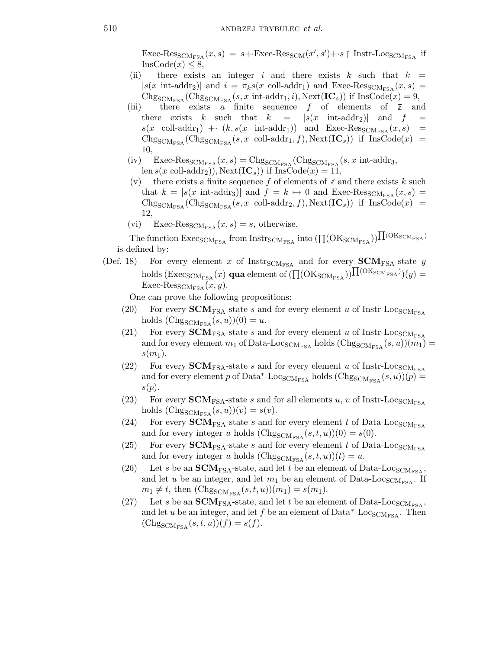Exec-Res<sub>SCMFSA</sub> $(x, s) = s +$ ·Exec-Res<sub>SCM</sub> $(x', s') + s$  | Instr-Loc<sub>SCMFSA</sub> if  $InsCode(x) \leq 8$ ,

- (ii) there exists an integer i and there exists k such that  $k =$  $|s(x \text{ int-addr}_2)|$  and  $i = \pi_k s(x \text{ coll-addr}_1)$  and Exec-Res<sub>SCMFSA</sub> $(x, s)$  $Chg_{SCM_{FSA}}(Chg_{SCM_{FSA}}(s, x \text{ int-addr}_1, i), \text{Next}(\text{IC}_s))$  if  $\text{InsCode}(x) = 9$ ,
- (iii) there exists a finite sequence f of elements of  $\mathbb Z$  and there exists k such that  $k = |s(x \text{ int-addr}_2)|$  and  $f =$  $s(x \text{ coll-addr}_1) + (k, s(x \text{ int-addr}_1))$  and  $Exec\text{-}Res_{SCM_{FSA}}(x, s)$  =  $\text{Chg}_{\text{SCM}_{\text{FSA}}}(\text{Chg}_{\text{SCM}_{\text{FSA}}}(s, x \text{ coll-addr}_1, f), \text{Next}(\text{IC}_s))$  if  $\text{InsCode}(x)$  = 10,
- (iv)  $\text{Exec-Res}_{\text{SCM}_{\text{FSA}}}(x, s) = \text{Chg}_{\text{SCM}_{\text{FSA}}}(\text{Chg}_{\text{SCM}_{\text{FSA}}}(s, x \text{ int-addr}_3,$ len  $s(x \text{ coll-addr}_2)$ , Next $(\text{IC}_s)$ ) if InsCode $(x) = 11$ ,
- (v) there exists a finite sequence  $f$  of elements of  $\mathbb Z$  and there exists  $k$  such that  $k = |s(x \text{ int-addr}_3)|$  and  $f = k \mapsto 0$  and Exec-Res<sub>SCMFSA</sub> $(x, s)$  =  $Chg_{SCM_{FSA}}(Chg_{SCM_{FSA}}(s, x \text{ coll-addr}_2, f), Next(IC_s))$  if  $InsCode(x)$  = 12,
- (vi) Exec-Res<sub>SCMFSA</sub> $(x, s) = s$ , otherwise.

The function  $\rm{Exec_{SCM_{FSA}}}$  from  $\rm{Instr_{SCM_{FSA}}}$  into  $(\prod({\rm OK_{SCM_{FSA}}}))\prod({\rm OK_{SCM_{FSA}}})$ is defined by:

(Def. 18) For every element x of  $Instr_{SCM_{FSA}}$  and for every  $SCM_{FSA}$ -state y holds  $(\mathrm{Exec_{SCM_{FSA}}}(x)$  qua element of  $(\prod(\mathrm{OK_{SCM_{FSA}}}))\prod(\mathrm{OK_{SCM_{FSA}}}))$   $(y)$ Exec-Res $_{\rm SCM_{FSA}}(x, y)$ .

One can prove the following propositions:

- (20) For every **-state s and for every element u of Instr-Loc<sub>SCMFSA</sub>** holds  $(\text{Chg}_{\text{SCM}_{\text{FSA}}}(s, u))(0) = u.$
- (21) For every **-state s and for every element u of Instr-Loc<sub>SCMFSA</sub>** and for every element  $m_1$  of Data-Loc<sub>SCMFSA</sub> holds ( $\text{Chg}_{\text{SCM}_{\text{FSA}}}(s, u)(m_1)$  =  $s(m_1)$ .
- (22) For every **-state s and for every element u of Instr-Loc<sub>SCMFSA</sub>** and for every element p of Data<sup>\*</sup>-Loc<sub>SCMFSA</sub> holds  $(\text{Chg}_{\text{SCM}_{\text{FSA}}}(s, u))(p)$  =  $s(p).$
- (23) For every **-state s and for all elements u, v of Instr-Loc<sub>SCMFSA</sub>** holds  $(\text{Chg}_{\text{SCM}_{\text{FSA}}}(s, u))(v) = s(v).$
- (24) For every **-state s and for every element t of Data-Loc<sub>SCMFSA</sub>** and for every integer u holds  $(\text{Chg}_{\text{SCM}_{\text{FSA}}}(s, t, u))(0) = s(0)$ .
- (25) For every **-state s and for every element t of Data-Loc<sub>SCMFSA</sub>** and for every integer u holds  $(\text{Chg}_{\text{SCM}_{\text{FSA}}}(s, t, u))(t) = u.$
- (26) Let s be an **-state, and let t be an element of Data-Loc<sub>SCMFSA</sub>,** and let u be an integer, and let  $m_1$  be an element of Data-Loc<sub>SCMFSA</sub>. If  $m_1 \neq t$ , then  $(Chg_{SCM_{FSA}}(s, t, u))(m_1) = s(m_1).$
- (27) Let s be an **-state, and let t be an element of Data-Loc<sub>SCMFSA</sub>,** and let u be an integer, and let f be an element of  $Data^*$ -Loc<sub>SCMFSA</sub>. Then  $(\text{Chg}_{\text{SCM}_{\text{FSA}}}(s, t, u))(f) = s(f).$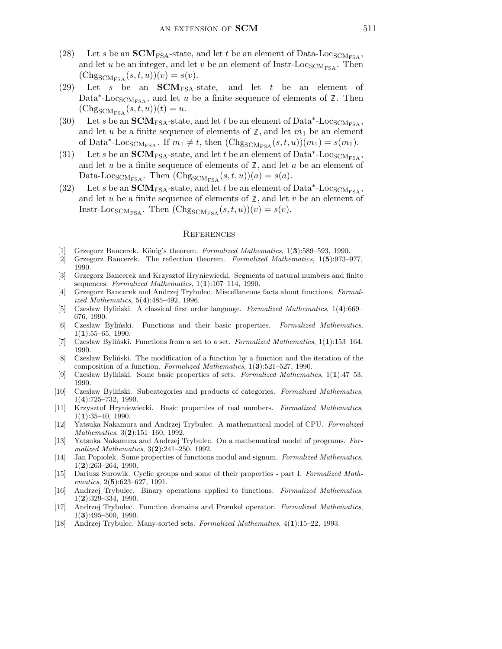- (28) Let s be an **-state, and let t be an element of Data-Loc<sub>SCMFSA</sub>,** and let u be an integer, and let v be an element of Instr-Loc<sub>SCMFSA</sub>. Then  $(\text{Chg}_{\text{SCM}_{\text{FSA}}}(s, t, u))(v) = s(v).$
- (29) Let s be an  $SCM_{FSA}$ -state, and let t be an element of Data<sup>\*</sup>-Loc<sub>SCMFSA</sub>, and let u be a finite sequence of elements of  $\mathbb{Z}$ . Then  $(\mathrm{Chg}_{\mathrm{SCM_{FSA}}}(s,t,u))(t)=u.$
- (30) Let s be an **-state, and let t be an element of Data<sup>\*</sup>-Loc<sub>SCMFSA</sub>,** and let u be a finite sequence of elements of  $\mathbb{Z}$ , and let  $m_1$  be an element of Data<sup>\*</sup>-Loc<sub>SCMFSA</sub>. If  $m_1 \neq t$ , then  $(\text{Chg}_{\text{SCM}_{\text{FSA}}}(s, t, u))(m_1) = s(m_1)$ .
- (31) Let s be an **-state, and let t be an element of Data<sup>\*</sup>-Loc<sub>SCMFSA</sub>,** and let u be a finite sequence of elements of  $\mathbb{Z}$ , and let u be an element of Data-Loc<sub>SCMFSA</sub>. Then  $(\text{Chg}_{\text{SCM}_{\text{FSA}}}(s, t, u))(a) = s(a)$ .
- (32) Let s be an **-state, and let t be an element of Data\*-Loc<sub>SCMFSA</sub>,** and let u be a finite sequence of elements of  $\mathbb{Z}$ , and let v be an element of Instr-Loc<sub>SCMFSA</sub>. Then  $(\text{Chg}_{\text{SCM}_{\text{FSA}}}(s, t, u))(v) = s(v)$ .

## **REFERENCES**

- Grzegorz Bancerek. König's theorem. Formalized Mathematics, 1(3):589–593, 1990.
- [2] Grzegorz Bancerek. The reflection theorem. Formalized Mathematics, 1(5):973–977, 1990.
- [3] Grzegorz Bancerek and Krzysztof Hryniewiecki. Segments of natural numbers and finite sequences. Formalized Mathematics,  $1(1):107-114$ , 1990.
- [4] Grzegorz Bancerek and Andrzej Trybulec. Miscellaneous facts about functions. Formalized Mathematics, 5(4):485–492, 1996.
- [5] Czesław Byliński. A classical first order language. Formalized Mathematics, 1(4):669– 676, 1990.
- [6] Czesław Byliński. Functions and their basic properties. Formalized Mathematics,  $1(1):55-65, 1990.$
- [7] Czesław Byliński. Functions from a set to a set. Formalized Mathematics,  $1(1):153-164$ , 1990.
- [8] Czesław Byliński. The modification of a function by a function and the iteration of the composition of a function. Formalized Mathematics, 1(3):521–527, 1990.
- [9] Czesław Byliński. Some basic properties of sets. Formalized Mathematics, 1(1):47–53, 1990.
- [10] Czesław Byliński. Subcategories and products of categories. Formalized Mathematics, 1(4):725–732, 1990.
- [11] Krzysztof Hryniewiecki. Basic properties of real numbers. Formalized Mathematics,  $1(1):35-40, 1990.$
- [12] Yatsuka Nakamura and Andrzej Trybulec. A mathematical model of CPU. Formalized Mathematics, 3(2):151-160, 1992.
- [13] Yatsuka Nakamura and Andrzej Trybulec. On a mathematical model of programs. Formalized Mathematics, 3(2):241–250, 1992.
- [14] Jan Popiołek. Some properties of functions modul and signum. Formalized Mathematics, 1(2):263–264, 1990.
- [15] Dariusz Surowik. Cyclic groups and some of their properties part I. Formalized Mathematics, 2(5):623–627, 1991.
- [16] Andrzej Trybulec. Binary operations applied to functions. Formalized Mathematics, 1(2):329–334, 1990.
- [17] Andrzej Trybulec. Function domains and Frænkel operator. Formalized Mathematics,  $1(3):495-500, 1990.$
- [18] Andrzej Trybulec. Many-sorted sets. Formalized Mathematics, 4(1):15–22, 1993.